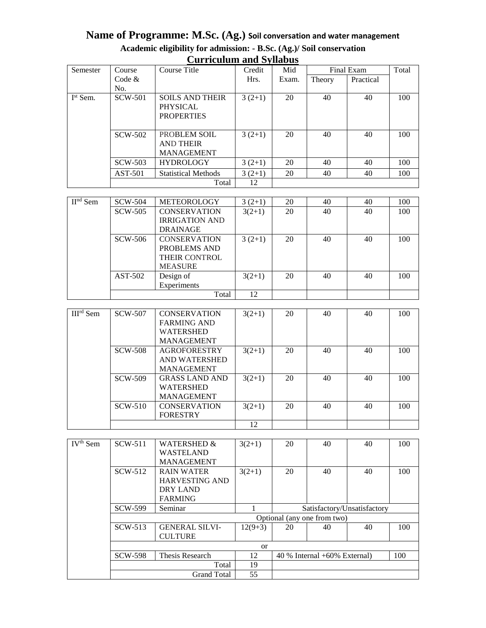## **Name of Programme: M.Sc. (Ag.) Soil conversation and water management Academic eligibility for admission: - B.Sc. (Ag.)/ Soil conservation Curriculum and Syllabus**

| $\sim$ urroumen unu $\sim$ , moves |           |                                                                |          |       |            |           |       |
|------------------------------------|-----------|----------------------------------------------------------------|----------|-------|------------|-----------|-------|
| Semester                           | Course    | Course Title                                                   | Credit   | Mid   | Final Exam |           | Total |
|                                    | Code $&$  |                                                                | Hrs.     | Exam. | Theory     | Practical |       |
|                                    | No.       |                                                                |          |       |            |           |       |
| I <sup>st</sup> Sem.               | SCW-501   | <b>SOILS AND THEIR</b><br><b>PHYSICAL</b><br><b>PROPERTIES</b> | $3(2+1)$ | 20    | 40         | 40        | 100   |
|                                    | SCW-502   | PROBLEM SOIL<br><b>AND THEIR</b><br><b>MANAGEMENT</b>          | $3(2+1)$ | 20    | 40         | 40        | 100   |
|                                    | SCW-503   | <b>HYDROLOGY</b>                                               | $3(2+1)$ | 20    | 40         | 40        | 100   |
|                                    | $AST-501$ | <b>Statistical Methods</b>                                     | $3(2+1)$ | 20    | 40         | 40        | 100   |
|                                    |           | Total                                                          | 12       |       |            |           |       |

| $IInd$ Sem | SCW-504   | <b>METEOROLOGY</b>    | $3(2+1)$ | 20 | 40 | 40 | 100 |
|------------|-----------|-----------------------|----------|----|----|----|-----|
|            | SCW-505   | <b>CONSERVATION</b>   | $3(2+1)$ | 20 | 40 | 40 | 100 |
|            |           | <b>IRRIGATION AND</b> |          |    |    |    |     |
|            |           | <b>DRAINAGE</b>       |          |    |    |    |     |
|            | SCW-506   | <b>CONSERVATION</b>   | $3(2+1)$ | 20 | 40 | 40 | 100 |
|            |           | PROBLEMS AND          |          |    |    |    |     |
|            |           | <b>THEIR CONTROL</b>  |          |    |    |    |     |
|            |           | <b>MEASURE</b>        |          |    |    |    |     |
|            | $AST-502$ | Design of             | $3(2+1)$ | 20 | 40 | 40 | 100 |
|            |           | Experiments           |          |    |    |    |     |
|            |           | Total                 | 12       |    |    |    |     |

| $IIIrd$ Sem | SCW-507        | <b>CONSERVATION</b>   | $3(2+1)$ | 20 | 40 | 40 | 100 |
|-------------|----------------|-----------------------|----------|----|----|----|-----|
|             |                | <b>FARMING AND</b>    |          |    |    |    |     |
|             |                | <b>WATERSHED</b>      |          |    |    |    |     |
|             |                | <b>MANAGEMENT</b>     |          |    |    |    |     |
|             | <b>SCW-508</b> | <b>AGROFORESTRY</b>   | $3(2+1)$ | 20 | 40 | 40 | 100 |
|             |                | AND WATERSHED         |          |    |    |    |     |
|             |                | <b>MANAGEMENT</b>     |          |    |    |    |     |
|             | SCW-509        | <b>GRASS LAND AND</b> | $3(2+1)$ | 20 | 40 | 40 | 100 |
|             |                | <b>WATERSHED</b>      |          |    |    |    |     |
|             |                | <b>MANAGEMENT</b>     |          |    |    |    |     |
|             | $SCW-510$      | <b>CONSERVATION</b>   | $3(2+1)$ | 20 | 40 | 40 | 100 |
|             |                | <b>FORESTRY</b>       |          |    |    |    |     |
|             |                |                       | 12       |    |    |    |     |

| IV <sup>th</sup> Sem | SCW-511        | <b>WATERSHED &amp;</b>      | $3(2+1)$  | 20                             | 40 | 40                          | 100 |  |
|----------------------|----------------|-----------------------------|-----------|--------------------------------|----|-----------------------------|-----|--|
|                      |                | <b>WASTELAND</b>            |           |                                |    |                             |     |  |
|                      |                | <b>MANAGEMENT</b>           |           |                                |    |                             |     |  |
|                      | SCW-512        | <b>RAIN WATER</b>           | $3(2+1)$  | 20                             | 40 | 40                          | 100 |  |
|                      |                | <b>HARVESTING AND</b>       |           |                                |    |                             |     |  |
|                      |                | DRY LAND                    |           |                                |    |                             |     |  |
|                      |                | <b>FARMING</b>              |           |                                |    |                             |     |  |
|                      | SCW-599        | Seminar                     |           |                                |    | Satisfactory/Unsatisfactory |     |  |
|                      |                | Optional (any one from two) |           |                                |    |                             |     |  |
|                      | $SCW-513$      | <b>GENERAL SILVI-</b>       | $12(9+3)$ | 20                             | 40 | 40                          | 100 |  |
|                      |                | <b>CULTURE</b>              |           |                                |    |                             |     |  |
|                      | <sub>or</sub>  |                             |           |                                |    |                             |     |  |
|                      | <b>SCW-598</b> | Thesis Research             | 12        | $40\%$ Internal +60% External) |    |                             | 100 |  |
|                      |                | Total                       | 19        |                                |    |                             |     |  |
|                      |                | <b>Grand Total</b>          | 55        |                                |    |                             |     |  |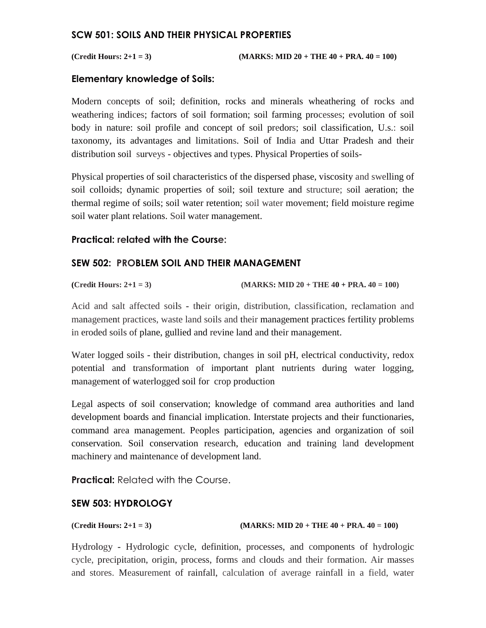#### **SCW 501: SOILS AND THEIR PHYSICAL PROPERTIES**

**(Credit Hours: 2+1 = 3) (MARKS: MID 20 + THE 40 + PRA. 40 = 100)** 

#### **Elementary knowledge of Soils:**

Modern concepts of soil; definition, rocks and minerals wheathering of rocks and weathering indices; factors of soil formation; soil farming processes; evolution of soil body in nature: soil profile and concept of soil predors; soil classification, U.s.: soil taxonomy, its advantages and limitations. Soil of India and Uttar Pradesh and their distribution soil surveys - objectives and types. Physical Properties of soils-

Physical properties of soil characteristics of the dispersed phase, viscosity and swelling of soil colloids; dynamic properties of soil; soil texture and structure; soil aeration; the thermal regime of soils; soil water retention; soil water movement; field moisture regime soil water plant relations. Soil water management.

### **Practical: related with the Course:**

### **SEW 502: PROBLEM SOIL AND THEIR MANAGEMENT**

**(Credit Hours: 2+1 = 3) (MARKS: MID 20 + THE 40 + PRA. 40 = 100)** 

Acid and salt affected soils - their origin, distribution, classification, reclamation and management practices, waste land soils and their management practices fertility problems in eroded soils of plane, gullied and revine land and their management.

Water logged soils - their distribution, changes in soil pH, electrical conductivity, redox potential and transformation of important plant nutrients during water logging, management of waterlogged soil for crop production

Legal aspects of soil conservation; knowledge of command area authorities and land development boards and financial implication. Interstate projects and their functionaries, command area management. Peoples participation, agencies and organization of soil conservation. Soil conservation research, education and training land development machinery and maintenance of development land.

**Practical: Related with the Course.** 

#### **SEW 503: HYDROLOGY**

#### **(Credit Hours: 2+1 = 3) (MARKS: MID 20 + THE 40 + PRA. 40 = 100)**

Hydrology - Hydrologic cycle, definition, processes, and components of hydrologic cycle, precipitation, origin, process, forms and clouds and their formation. Air masses and stores. Measurement of rainfall, calculation of average rainfall in a field, water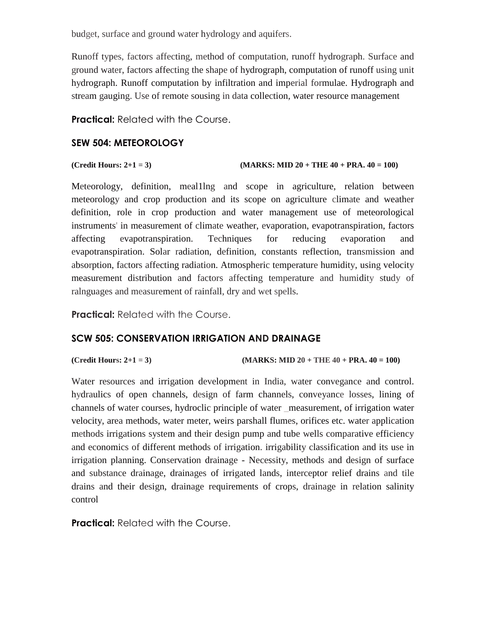budget, surface and ground water hydrology and aquifers.

Runoff types, factors affecting, method of computation, runoff hydrograph. Surface and ground water, factors affecting the shape of hydrograph, computation of runoff using unit hydrograph. Runoff computation by infiltration and imperial formulae. Hydrograph and stream gauging. Use of remote sousing in data collection, water resource management

**Practical:** Related with the Course.

### **SEW 504: METEOROLOGY**

```
(Credit Hours: 2+1 = 3) (MARKS: MID 20 + THE 40 + PRA. 40 = 100)
```
Meteorology, definition, meal1lng and scope in agriculture, relation between meteorology and crop production and its scope on agriculture climate and weather definition, role in crop production and water management use of meteorological instruments' in measurement of climate weather, evaporation, evapotranspiration, factors affecting evapotranspiration. Techniques for reducing evaporation and evapotranspiration. Solar radiation, definition, constants reflection, transmission and absorption, factors affecting radiation. Atmospheric temperature humidity, using velocity measurement distribution and factors affecting temperature and humidity study of ralnguages and measurement of rainfall, dry and wet spells.

**Practical:** Related with the Course.

### **SCW 505: CONSERVATION IRRIGATION AND DRAINAGE**

(Credit Hours: 
$$
2+1=3
$$
)

 $(MARKS: MID 20 + THE 40 + PRA. 40 = 100)$ 

Water resources and irrigation development in India, water convegance and control. hydraulics of open channels, design of farm channels, conveyance losses, lining of channels of water courses, hydroclic principle of water \_measurement, of irrigation water velocity, area methods, water meter, weirs parshall flumes, orifices etc. water application methods irrigations system and their design pump and tube wells comparative efficiency and economics of different methods of irrigation. irrigability classification and its use in irrigation planning. Conservation drainage - Necessity, methods and design of surface and substance drainage, drainages of irrigated lands, interceptor relief drains and tile drains and their design, drainage requirements of crops, drainage in relation salinity control

**Practical:** Related with the Course.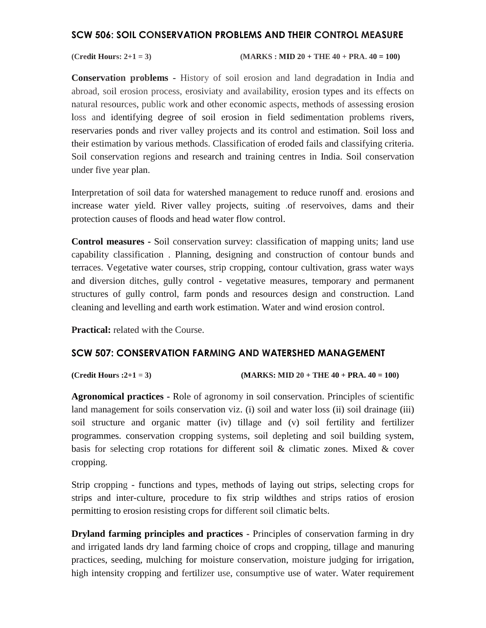#### **SCW 506: SOIL CONSERVATION PROBLEMS AND THEIR CONTROL MEASURE**

**(Credit Hours: 2+1 = 3) (MARKS : MID 20 + THE 40 + PRA. 40 = 100)**

**Conservation problems** - History of soil erosion and land degradation in India and abroad, soil erosion process, erosiviaty and availability, erosion types and its effects on natural resources, public work and other economic aspects, methods of assessing erosion loss and identifying degree of soil erosion in field sedimentation problems rivers, reservaries ponds and river valley projects and its control and estimation. Soil loss and their estimation by various methods. Classification of eroded fails and classifying criteria. Soil conservation regions and research and training centres in India. Soil conservation under five year plan.

Interpretation of soil data for watershed management to reduce runoff and. erosions and increase water yield. River valley projects, suiting .of reservoives, dams and their protection causes of floods and head water flow control.

**Control measures -** Soil conservation survey: classification of mapping units; land use capability classification . Planning, designing and construction of contour bunds and terraces. Vegetative water courses, strip cropping, contour cultivation, grass water ways and diversion ditches, gully control - vegetative measures, temporary and permanent structures of gully control, farm ponds and resources design and construction. Land cleaning and levelling and earth work estimation. Water and wind erosion control.

**Practical:** related with the Course.

#### **SCW 507: CONSERVATION FARMING AND WATERSHED MANAGEMENT**

**(Credit Hours :2+1 = 3) (MARKS: MID 20 + THE 40 + PRA. 40 = 100)** 

**Agronomical practices -** Role of agronomy in soil conservation. Principles of scientific land management for soils conservation viz. (i) soil and water loss (ii) soil drainage (iii) soil structure and organic matter (iv) tillage and (v) soil fertility and fertilizer programmes. conservation cropping systems, soil depleting and soil building system, basis for selecting crop rotations for different soil & climatic zones. Mixed & cover cropping.

Strip cropping - functions and types, methods of laying out strips, selecting crops for strips and inter-culture, procedure to fix strip wildthes and strips ratios of erosion permitting to erosion resisting crops for different soil climatic belts.

**Dryland farming principles and practices -** Principles of conservation farming in dry and irrigated lands dry land farming choice of crops and cropping, tillage and manuring practices, seeding, mulching for moisture conservation, moisture judging for irrigation, high intensity cropping and fertilizer use, consumptive use of water. Water requirement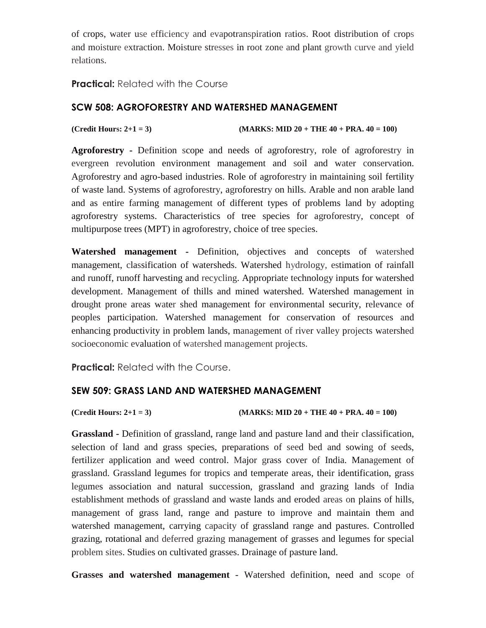of crops, water use efficiency and evapotranspiration ratios. Root distribution of crops and moisture extraction. Moisture stresses in root zone and plant growth curve and yield relations.

#### **Practical:** Related with the Course

### **SCW 508: AGROFORESTRY AND WATERSHED MANAGEMENT**

**(Credit Hours: 2+1 = 3) (MARKS: MID 20 + THE 40 + PRA. 40 = 100)** 

**Agroforestry -** Definition scope and needs of agroforestry, role of agroforestry in evergreen revolution environment management and soil and water conservation. Agroforestry and agro-based industries. Role of agroforestry in maintaining soil fertility of waste land. Systems of agroforestry, agroforestry on hills. Arable and non arable land and as entire farming management of different types of problems land by adopting agroforestry systems. Characteristics of tree species for agroforestry, concept of multipurpose trees (MPT) in agroforestry, choice of tree species.

**Watershed management -** Definition, objectives and concepts of watershed management, classification of watersheds. Watershed hydrology, estimation of rainfall and runoff, runoff harvesting and recycling. Appropriate technology inputs for watershed development. Management of thills and mined watershed. Watershed management in drought prone areas water shed management for environmental security, relevance of peoples participation. Watershed management for conservation of resources and enhancing productivity in problem lands, management of river valley projects watershed socioeconomic evaluation of watershed management projects.

**Practical:** Related with the Course.

#### **SEW 509: GRASS LAND AND WATERSHED MANAGEMENT**

**(Credit Hours: 2+1 = 3) (MARKS: MID 20 + THE 40 + PRA. 40 = 100)** 

**Grassland -** Definition of grassland, range land and pasture land and their classification, selection of land and grass species, preparations of seed bed and sowing of seeds, fertilizer application and weed control. Major grass cover of India. Management of grassland. Grassland legumes for tropics and temperate areas, their identification, grass legumes association and natural succession, grassland and grazing lands of India establishment methods of grassland and waste lands and eroded areas on plains of hills, management of grass land, range and pasture to improve and maintain them and watershed management, carrying capacity of grassland range and pastures. Controlled grazing, rotational and deferred grazing management of grasses and legumes for special problem sites. Studies on cultivated grasses. Drainage of pasture land.

**Grasses and watershed management** - Watershed definition, need and scope of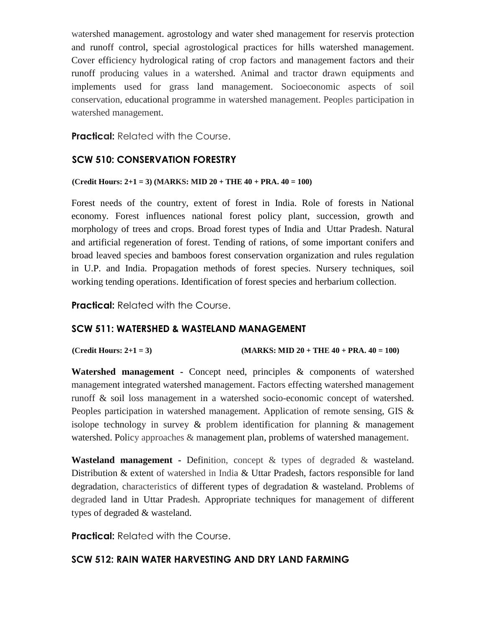watershed management. agrostology and water shed management for reservis protection and runoff control, special agrostological practices for hills watershed management. Cover efficiency hydrological rating of crop factors and management factors and their runoff producing values in a watershed. Animal and tractor drawn equipments and implements used for grass land management. Socioeconomic aspects of soil conservation, educational programme in watershed management. Peoples participation in watershed management.

**Practical:** Related with the Course.

## **SCW 510: CONSERVATION FORESTRY**

#### **(Credit Hours: 2+1 = 3) (MARKS: MID 20 + THE 40 + PRA. 40 = 100)**

Forest needs of the country, extent of forest in India. Role of forests in National economy. Forest influences national forest policy plant, succession, growth and morphology of trees and crops. Broad forest types of India and Uttar Pradesh. Natural and artificial regeneration of forest. Tending of rations, of some important conifers and broad leaved species and bamboos forest conservation organization and rules regulation in U.P. and India. Propagation methods of forest species. Nursery techniques, soil working tending operations. Identification of forest species and herbarium collection.

**Practical: Related with the Course.** 

### **SCW 511: WATERSHED & WASTELAND MANAGEMENT**

#### **(Credit Hours: 2+1 = 3) (MARKS: MID 20 + THE 40 + PRA. 40 = 100)**

**Watershed management -** Concept need, principles & components of watershed management integrated watershed management. Factors effecting watershed management runoff & soil loss management in a watershed socio-economic concept of watershed. Peoples participation in watershed management. Application of remote sensing, GIS & isolope technology in survey  $\&$  problem identification for planning  $\&$  management watershed. Policy approaches & management plan, problems of watershed management.

**Wasteland management -** Definition, concept & types of degraded & wasteland. Distribution & extent of watershed in India & Uttar Pradesh, factors responsible for land degradation, characteristics of different types of degradation & wasteland. Problems of degraded land in Uttar Pradesh. Appropriate techniques for management of different types of degraded & wasteland.

**Practical:** Related with the Course.

# **SCW 512: RAIN WATER HARVESTING AND DRY LAND FARMING**